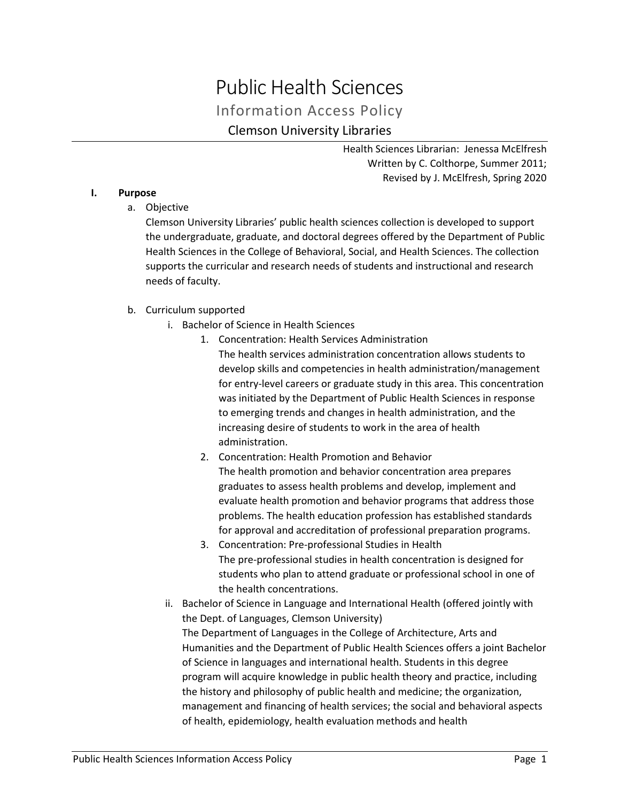# Public Health Sciences Information Access Policy Clemson University Libraries

Health Sciences Librarian: Jenessa McElfresh Written by C. Colthorpe, Summer 2011; Revised by J. McElfresh, Spring 2020

# **I. Purpose**

a. Objective

Clemson University Libraries' public health sciences collection is developed to support the undergraduate, graduate, and doctoral degrees offered by the Department of Public Health Sciences in the College of Behavioral, Social, and Health Sciences. The collection supports the curricular and research needs of students and instructional and research needs of faculty.

# b. Curriculum supported

- i. Bachelor of Science in Health Sciences
	- 1. Concentration: Health Services Administration The health services administration concentration allows students to develop skills and competencies in health administration/management for entry-level careers or graduate study in this area. This concentration was initiated by the Department of Public Health Sciences in response to emerging trends and changes in health administration, and the increasing desire of students to work in the area of health administration.
	- 2. Concentration: Health Promotion and Behavior The health promotion and behavior concentration area prepares graduates to assess health problems and develop, implement and evaluate health promotion and behavior programs that address those problems. The health education profession has established standards for approval and accreditation of professional preparation programs.
	- 3. Concentration: Pre-professional Studies in Health The pre-professional studies in health concentration is designed for students who plan to attend graduate or professional school in one of the health concentrations.
- ii. Bachelor of Science in Language and International Health (offered jointly with the Dept. of Languages, Clemson University) The Department of Languages in the College of Architecture, Arts and Humanities and the Department of Public Health Sciences offers a joint Bachelor of Science in languages and international health. Students in this degree program will acquire knowledge in public health theory and practice, including the history and philosophy of public health and medicine; the organization, management and financing of health services; the social and behavioral aspects of health, epidemiology, health evaluation methods and health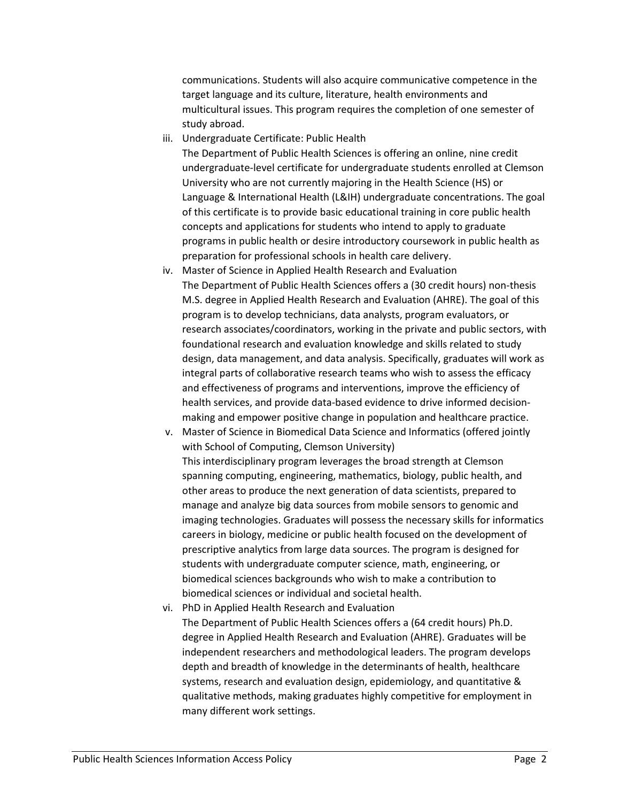communications. Students will also acquire communicative competence in the target language and its culture, literature, health environments and multicultural issues. This program requires the completion of one semester of study abroad.

iii. Undergraduate Certificate: Public Health

The Department of Public Health Sciences is offering an online, nine credit undergraduate-level certificate for undergraduate students enrolled at Clemson University who are not currently majoring in the Health Science (HS) or Language & International Health (L&IH) undergraduate concentrations. The goal of this certificate is to provide basic educational training in core public health concepts and applications for students who intend to apply to graduate programs in public health or desire introductory coursework in public health as preparation for professional schools in health care delivery.

iv. Master of Science in Applied Health Research and Evaluation The Department of Public Health Sciences offers a (30 credit hours) non-thesis M.S. degree in Applied Health Research and Evaluation (AHRE). The goal of this program is to develop technicians, data analysts, program evaluators, or research associates/coordinators, working in the private and public sectors, with foundational research and evaluation knowledge and skills related to study design, data management, and data analysis. Specifically, graduates will work as integral parts of collaborative research teams who wish to assess the efficacy and effectiveness of programs and interventions, improve the efficiency of health services, and provide data-based evidence to drive informed decisionmaking and empower positive change in population and healthcare practice.

v. Master of Science in Biomedical Data Science and Informatics (offered jointly with School of Computing, Clemson University) This interdisciplinary program leverages the broad strength at Clemson spanning computing, engineering, mathematics, biology, public health, and other areas to produce the next generation of data scientists, prepared to manage and analyze big data sources from mobile sensors to genomic and imaging technologies. Graduates will possess the necessary skills for informatics careers in biology, medicine or public health focused on the development of prescriptive analytics from large data sources. The program is designed for students with undergraduate computer science, math, engineering, or biomedical sciences backgrounds who wish to make a contribution to biomedical sciences or individual and societal health.

vi. PhD in Applied Health Research and Evaluation The Department of Public Health Sciences offers a (64 credit hours) Ph.D. degree in Applied Health Research and Evaluation (AHRE). Graduates will be independent researchers and methodological leaders. The program develops depth and breadth of knowledge in the determinants of health, healthcare systems, research and evaluation design, epidemiology, and quantitative & qualitative methods, making graduates highly competitive for employment in many different work settings.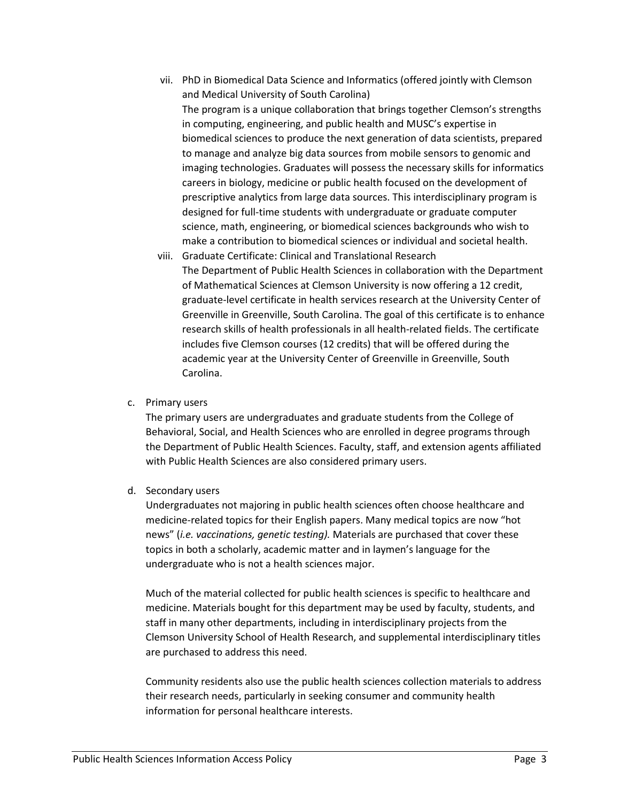- vii. PhD in Biomedical Data Science and Informatics (offered jointly with Clemson and Medical University of South Carolina) The program is a unique collaboration that brings together Clemson's strengths in computing, engineering, and public health and MUSC's expertise in biomedical sciences to produce the next generation of data scientists, prepared to manage and analyze big data sources from mobile sensors to genomic and imaging technologies. Graduates will possess the necessary skills for informatics careers in biology, medicine or public health focused on the development of prescriptive analytics from large data sources. This interdisciplinary program is designed for full-time students with undergraduate or graduate computer science, math, engineering, or biomedical sciences backgrounds who wish to make a contribution to biomedical sciences or individual and societal health.
- viii. Graduate Certificate: Clinical and Translational Research The Department of Public Health Sciences in collaboration with the Department of Mathematical Sciences at Clemson University is now offering a 12 credit, graduate-level certificate in health services research at the University Center of Greenville in Greenville, South Carolina. The goal of this certificate is to enhance research skills of health professionals in all health-related fields. The certificate includes five Clemson courses (12 credits) that will be offered during the academic year at the University Center of Greenville in Greenville, South Carolina.
- c. Primary users

The primary users are undergraduates and graduate students from the College of Behavioral, Social, and Health Sciences who are enrolled in degree programs through the Department of Public Health Sciences. Faculty, staff, and extension agents affiliated with Public Health Sciences are also considered primary users.

d. Secondary users

Undergraduates not majoring in public health sciences often choose healthcare and medicine-related topics for their English papers. Many medical topics are now "hot news" (*i.e. vaccinations, genetic testing).* Materials are purchased that cover these topics in both a scholarly, academic matter and in laymen's language for the undergraduate who is not a health sciences major.

Much of the material collected for public health sciences is specific to healthcare and medicine. Materials bought for this department may be used by faculty, students, and staff in many other departments, including in interdisciplinary projects from the Clemson University School of Health Research, and supplemental interdisciplinary titles are purchased to address this need.

Community residents also use the public health sciences collection materials to address their research needs, particularly in seeking consumer and community health information for personal healthcare interests.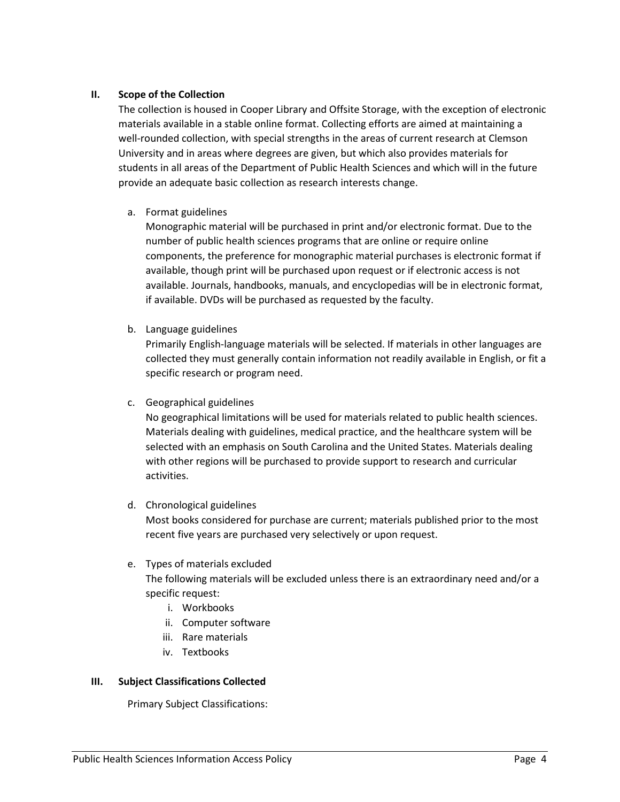## **II. Scope of the Collection**

The collection is housed in Cooper Library and Offsite Storage, with the exception of electronic materials available in a stable online format. Collecting efforts are aimed at maintaining a well-rounded collection, with special strengths in the areas of current research at Clemson University and in areas where degrees are given, but which also provides materials for students in all areas of the Department of Public Health Sciences and which will in the future provide an adequate basic collection as research interests change.

## a. Format guidelines

Monographic material will be purchased in print and/or electronic format. Due to the number of public health sciences programs that are online or require online components, the preference for monographic material purchases is electronic format if available, though print will be purchased upon request or if electronic access is not available. Journals, handbooks, manuals, and encyclopedias will be in electronic format, if available. DVDs will be purchased as requested by the faculty.

b. Language guidelines

Primarily English-language materials will be selected. If materials in other languages are collected they must generally contain information not readily available in English, or fit a specific research or program need.

c. Geographical guidelines

No geographical limitations will be used for materials related to public health sciences. Materials dealing with guidelines, medical practice, and the healthcare system will be selected with an emphasis on South Carolina and the United States. Materials dealing with other regions will be purchased to provide support to research and curricular activities.

#### d. Chronological guidelines

Most books considered for purchase are current; materials published prior to the most recent five years are purchased very selectively or upon request.

#### e. Types of materials excluded

The following materials will be excluded unless there is an extraordinary need and/or a specific request:

- i. Workbooks
- ii. Computer software
- iii. Rare materials
- iv. Textbooks

#### **III. Subject Classifications Collected**

Primary Subject Classifications: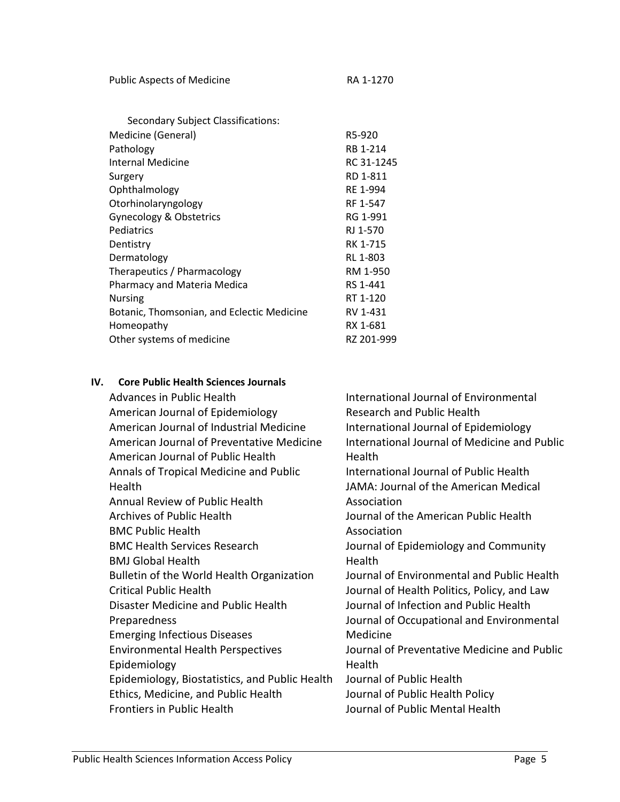| <b>Public Aspects of Medicine</b> | RA 1-1270 |
|-----------------------------------|-----------|
|                                   |           |

| Secondary Subject Classifications:         |            |
|--------------------------------------------|------------|
| Medicine (General)                         | R5-920     |
| Pathology                                  | RB 1-214   |
| Internal Medicine                          | RC 31-1245 |
| Surgery                                    | RD 1-811   |
| Ophthalmology                              | RE 1-994   |
| Otorhinolaryngology                        | RF 1-547   |
| <b>Gynecology &amp; Obstetrics</b>         | RG 1-991   |
| Pediatrics                                 | RJ 1-570   |
| Dentistry                                  | RK 1-715   |
| Dermatology                                | RL 1-803   |
| Therapeutics / Pharmacology                | RM 1-950   |
| Pharmacy and Materia Medica                | RS 1-441   |
| <b>Nursing</b>                             | RT 1-120   |
| Botanic, Thomsonian, and Eclectic Medicine | RV 1-431   |
| Homeopathy                                 | RX 1-681   |
| Other systems of medicine                  | RZ 201-999 |
|                                            |            |

## **IV. Core Public Health Sciences Journals**

Advances in Public Health American Journal of Epidemiology American Journal of Industrial Medicine American Journal of Preventative Medicine American Journal of Public Health Annals of Tropical Medicine and Public Health Annual Review of Public Health Archives of Public Health BMC Public Health BMC Health Services Research BMJ Global Health Bulletin of the World Health Organization Critical Public Health Disaster Medicine and Public Health Preparedness Emerging Infectious Diseases Environmental Health Perspectives Epidemiology Epidemiology, Biostatistics, and Public Health Ethics, Medicine, and Public Health Frontiers in Public Health International Journal of Environmental Research and Public Health International Journal of Epidemiology International Journal of Medicine and Public **Health** International Journal of Public Health JAMA: Journal of the American Medical Association Journal of the American Public Health Association Journal of Epidemiology and Community Health Journal of Environmental and Public Health Journal of Health Politics, Policy, and Law Journal of Infection and Public Health Journal of Occupational and Environmental Medicine Journal of Preventative Medicine and Public Health Journal of Public Health Journal of Public Health Policy Journal of Public Mental Health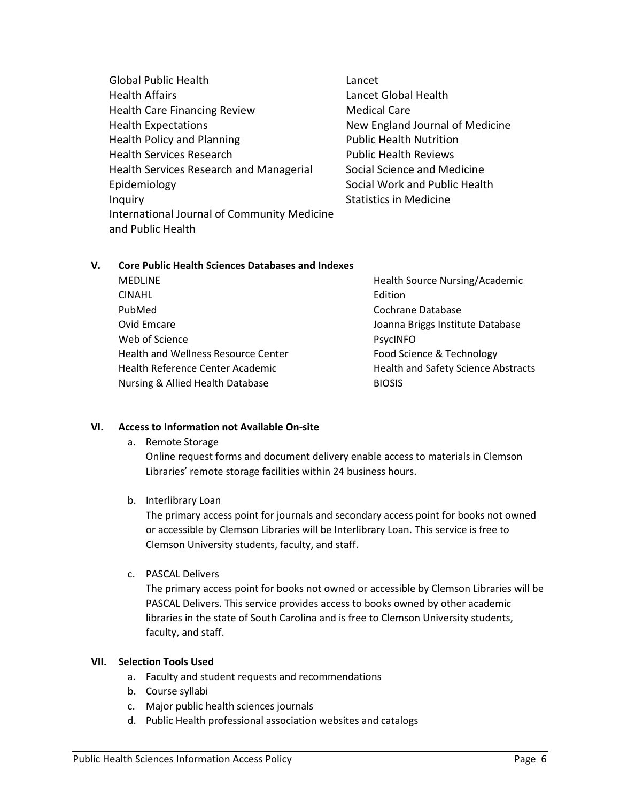- Global Public Health Health Affairs Health Care Financing Review Health Expectations Health Policy and Planning Health Services Research Health Services Research and Managerial Epidemiology Inquiry International Journal of Community Medicine and Public Health
- Lancet Lancet Global Health Medical Care New England Journal of Medicine Public Health Nutrition Public Health Reviews Social Science and Medicine Social Work and Public Health Statistics in Medicine

# **V. Core Public Health Sciences Databases and Indexes**

MEDLINE CINAHL PubMed Ovid Emcare Web of Science Health and Wellness Resource Center Health Reference Center Academic Nursing & Allied Health Database

Health Source Nursing/Academic Edition Cochrane Database Joanna Briggs Institute Database PsycINFO Food Science & Technology Health and Safety Science Abstracts BIOSIS

# **VI. Access to Information not Available On-site**

a. Remote Storage

Online request forms and document delivery enable access to materials in Clemson Libraries' remote storage facilities within 24 business hours.

b. Interlibrary Loan

The primary access point for journals and secondary access point for books not owned or accessible by Clemson Libraries will be Interlibrary Loan. This service is free to Clemson University students, faculty, and staff.

c. PASCAL Delivers

The primary access point for books not owned or accessible by Clemson Libraries will be PASCAL Delivers. This service provides access to books owned by other academic libraries in the state of South Carolina and is free to Clemson University students, faculty, and staff.

#### **VII. Selection Tools Used**

- a. Faculty and student requests and recommendations
- b. Course syllabi
- c. Major public health sciences journals
- d. Public Health professional association websites and catalogs